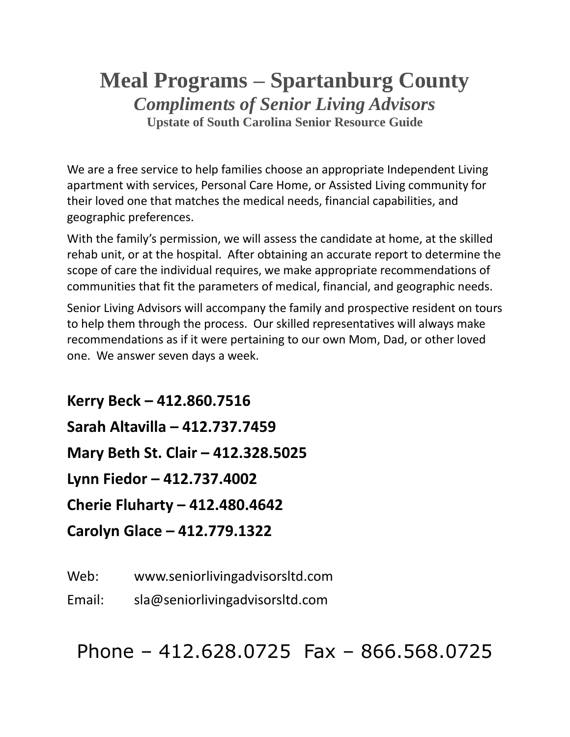## **Meal Programs – Spartanburg County** *Compliments of Senior Living Advisors* **Upstate of South Carolina Senior Resource Guide**

We are a free service to help families choose an appropriate Independent Living apartment with services, Personal Care Home, or Assisted Living community for their loved one that matches the medical needs, financial capabilities, and geographic preferences.

With the family's permission, we will assess the candidate at home, at the skilled rehab unit, or at the hospital. After obtaining an accurate report to determine the scope of care the individual requires, we make appropriate recommendations of communities that fit the parameters of medical, financial, and geographic needs.

Senior Living Advisors will accompany the family and prospective resident on tours to help them through the process. Our skilled representatives will always make recommendations as if it were pertaining to our own Mom, Dad, or other loved one. We answer seven days a week.

**Kerry Beck – 412.860.7516 Sarah Altavilla – 412.737.7459 Mary Beth St. Clair – 412.328.5025 Lynn Fiedor – 412.737.4002 Cherie Fluharty – 412.480.4642 Carolyn Glace – 412.779.1322**

Web: www.seniorlivingadvisorsltd.com

Email: sla@seniorlivingadvisorsltd.com

Phone – 412.628.0725 Fax – 866.568.0725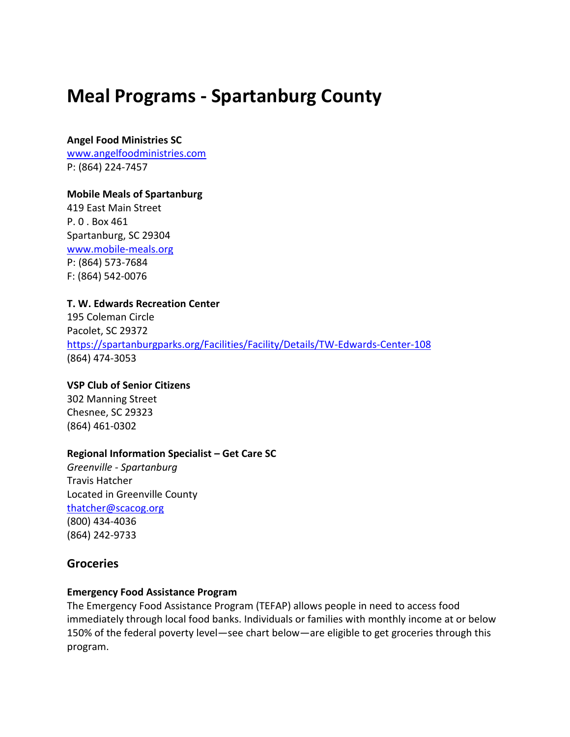# **Meal Programs - Spartanburg County**

#### **Angel Food Ministries SC**

[www.angelfoodministries.com](http://www.angelfoodministries.com/) P: (864) 224-7457

#### **Mobile Meals of Spartanburg**

419 East Main Street P. 0 . Box 461 Spartanburg, SC 29304 [www.mobile-meals.org](http://www.mobile-meals.org/) P: (864) 573-7684 F: (864) 542-0076

### **T. W. Edwards Recreation Center**

195 Coleman Circle Pacolet, SC 29372 <https://spartanburgparks.org/Facilities/Facility/Details/TW-Edwards-Center-108> (864) 474-3053

### **VSP Club of Senior Citizens**

302 Manning Street Chesnee, SC 29323 (864) 461-0302

#### **Regional Information Specialist – Get Care SC**

*Greenville - Spartanburg* Travis Hatcher Located in Greenville County [thatcher@scacog.org](mailto:thatcher@scacog.org) (800) 434-4036 (864) 242-9733

## **Groceries**

### **Emergency Food Assistance Program**

The Emergency Food Assistance Program (TEFAP) allows people in need to access food immediately through local food banks. Individuals or families with monthly income at or below 150% of the federal poverty level—see chart below—are eligible to get groceries through this program.